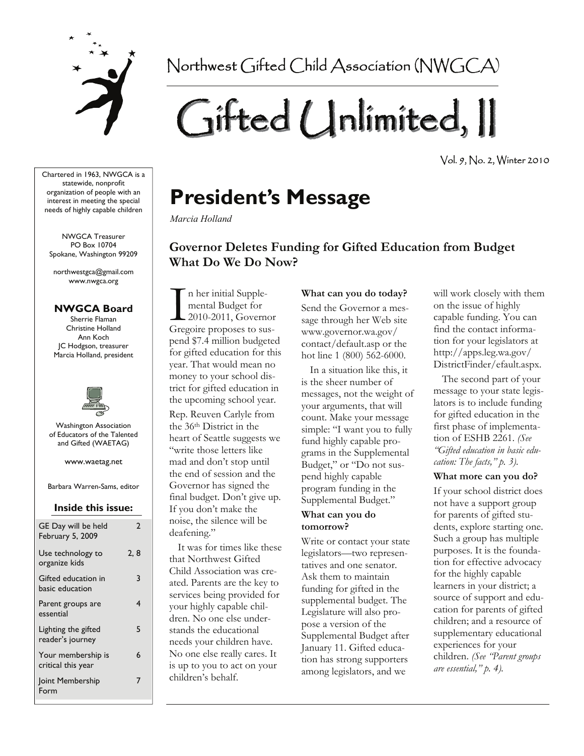

Northwest Gifted Child Association (NWGCA)

# Gifted Unlimited, II

Vol. 9, No. 2, Winter 2010

Chartered in 1963, NWGCA is a statewide, nonprofit organization of people with an interest in meeting the special needs of highly capable children

NWGCA Treasurer PO Box 10704 Spokane, Washington 99209

northwestgca@gmail.com www.nwgca.org

### **NWGCA Board**

Sherrie Flaman Christine Holland Ann Koch JC Hodgson, treasurer Marcia Holland, president



Washington Association of Educators of the Talented and Gifted (WAETAG)

www.waetag.net

Barbara Warren-Sams, editor

### **Inside this issue:**

| GE Day will be held<br>February 5, 2009  | 2   |
|------------------------------------------|-----|
| Use technology to<br>organize kids       | 2.8 |
| Gifted education in<br>basic education   | 3   |
| Parent groups are<br>essential           | 4   |
| Lighting the gifted<br>reader's journey  | 5   |
| Your membership is<br>critical this year | 6   |
| Joint Membership<br>Form                 | 7   |

## **President's Message**

*Marcia Holland* 

### **Governor Deletes Funding for Gifted Education from Budget What Do We Do Now?**

In her initial Supple-<br>
mental Budget for<br>
2010-2011, Govern<br>
Gregoire proposes to su mental Budget for 2010-2011, Governor Gregoire proposes to suspend \$7.4 million budgeted for gifted education for this year. That would mean no money to your school district for gifted education in the upcoming school year. Rep. Reuven Carlyle from the 36th District in the heart of Seattle suggests we "write those letters like mad and don't stop until the end of session and the Governor has signed the final budget. Don't give up. If you don't make the noise, the silence will be deafening."

 It was for times like these that Northwest Gifted Child Association was created. Parents are the key to services being provided for your highly capable children. No one else understands the educational needs your children have. No one else really cares. It is up to you to act on your children's behalf.

### **What can you do today?**

Send the Governor a message through her Web site www.governor.wa.gov/ contact/default.asp or the hot line 1 (800) 562-6000.

 In a situation like this, it is the sheer number of messages, not the weight of your arguments, that will count. Make your message simple: "I want you to fully fund highly capable programs in the Supplemental Budget," or "Do not suspend highly capable program funding in the Supplemental Budget."

### **What can you do tomorrow?**

Write or contact your state legislators—two representatives and one senator. Ask them to maintain funding for gifted in the supplemental budget. The Legislature will also propose a version of the Supplemental Budget after January 11. Gifted education has strong supporters among legislators, and we

will work closely with them on the issue of highly capable funding. You can find the contact information for your legislators at http://apps.leg.wa.gov/ DistrictFinder/efault.aspx.

 The second part of your message to your state legislators is to include funding for gifted education in the first phase of implementation of ESHB 2261. *(See "Gifted education in basic education: The facts," p. 3).* 

### **What more can you do?**

If your school district does not have a support group for parents of gifted students, explore starting one. Such a group has multiple purposes. It is the foundation for effective advocacy for the highly capable learners in your district; a source of support and education for parents of gifted children; and a resource of supplementary educational experiences for your children. *(See "Parent groups are essential," p. 4).*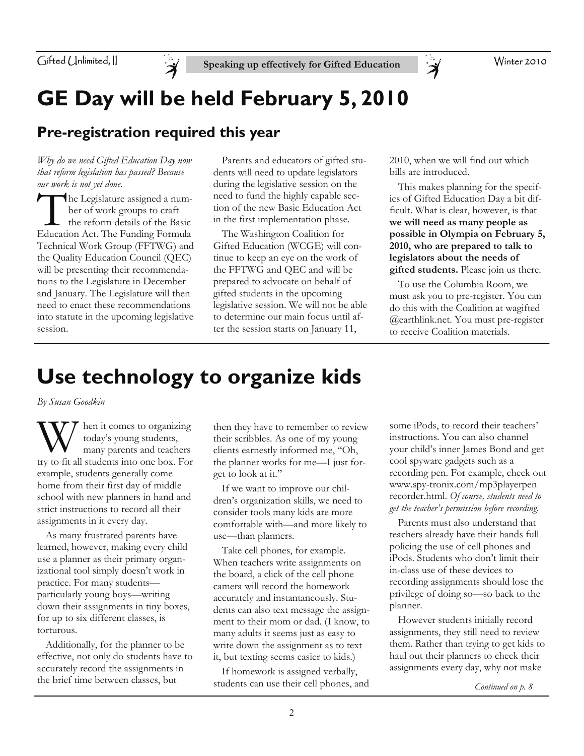

Winter 2010

# **GE Day will be held February 5, 2010**

## **Pre-registration required this year**

*Why do we need Gifted Education Day now that reform legislation has passed? Because our work is not yet done.* 

The Legislature assigned a number of work groups to craft the reform details of the Basic Education Act. The Funding Formula Technical Work Group (FFTWG) and the Quality Education Council (QEC) will be presenting their recommendations to the Legislature in December and January. The Legislature will then need to enact these recommendations into statute in the upcoming legislative session.

 Parents and educators of gifted students will need to update legislators during the legislative session on the need to fund the highly capable section of the new Basic Education Act in the first implementation phase.

 The Washington Coalition for Gifted Education (WCGE) will continue to keep an eye on the work of the FFTWG and QEC and will be prepared to advocate on behalf of gifted students in the upcoming legislative session. We will not be able to determine our main focus until after the session starts on January 11,

2010, when we will find out which bills are introduced.

 $\breve{\mathbf{z}}$ 

 This makes planning for the specifics of Gifted Education Day a bit difficult. What is clear, however, is that **we will need as many people as possible in Olympia on February 5, 2010, who are prepared to talk to legislators about the needs of gifted students.** Please join us there.

 To use the Columbia Room, we must ask you to pre-register. You can do this with the Coalition at wagifted @earthlink.net. You must pre-register to receive Coalition materials.

## **Use technology to organize kids**

*By Susan Goodkin* 

W hen it comes to organizing<br>today's young students,<br>try to fit all students into one boy. For today's young students, try to fit all students into one box. For example, students generally come home from their first day of middle school with new planners in hand and strict instructions to record all their assignments in it every day.

 As many frustrated parents have learned, however, making every child use a planner as their primary organizational tool simply doesn't work in practice. For many students particularly young boys—writing down their assignments in tiny boxes, for up to six different classes, is torturous.

 Additionally, for the planner to be effective, not only do students have to accurately record the assignments in the brief time between classes, but

then they have to remember to review their scribbles. As one of my young clients earnestly informed me, "Oh, the planner works for me—I just forget to look at it."

 If we want to improve our children's organization skills, we need to consider tools many kids are more comfortable with—and more likely to use—than planners.

 Take cell phones, for example. When teachers write assignments on the board, a click of the cell phone camera will record the homework accurately and instantaneously. Students can also text message the assignment to their mom or dad. (I know, to many adults it seems just as easy to write down the assignment as to text it, but texting seems easier to kids.)

 If homework is assigned verbally, students can use their cell phones, and

some iPods, to record their teachers' instructions. You can also channel your child's inner James Bond and get cool spyware gadgets such as a recording pen. For example, check out www.spy-tronix.com/mp3playerpen recorder.html. *Of course, students need to get the teacher's permission before recording*.

 Parents must also understand that teachers already have their hands full policing the use of cell phones and iPods. Students who don't limit their in-class use of these devices to recording assignments should lose the privilege of doing so—so back to the planner.

 However students initially record assignments, they still need to review them. Rather than trying to get kids to haul out their planners to check their assignments every day, why not make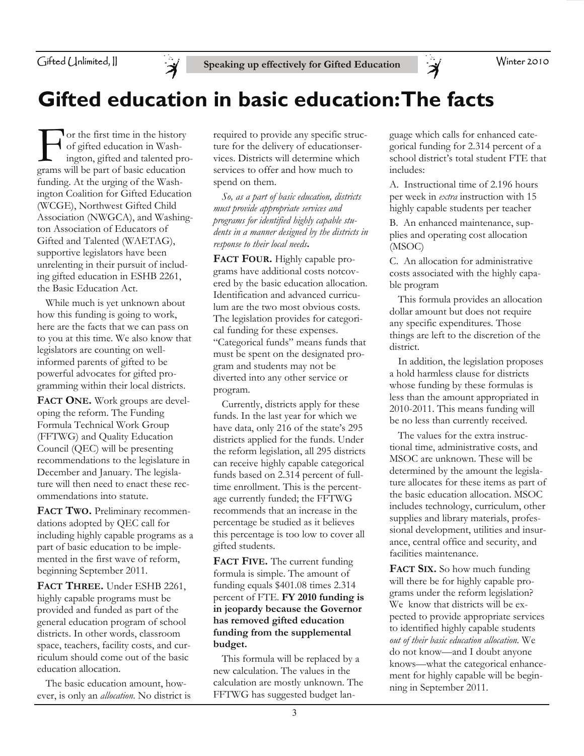

Winter 2010

# **Gifted education in basic education: The facts**

For the first time in the history<br>of gifted education in Wash-<br>ington, gifted and talented pro<br>grams will be part of basic education of gifted education in Washington, gifted and talented programs will be part of basic education funding. At the urging of the Washington Coalition for Gifted Education (WCGE), Northwest Gifted Child Association (NWGCA), and Washington Association of Educators of Gifted and Talented (WAETAG), supportive legislators have been unrelenting in their pursuit of including gifted education in ESHB 2261, the Basic Education Act.

 While much is yet unknown about how this funding is going to work, here are the facts that we can pass on to you at this time. We also know that legislators are counting on wellinformed parents of gifted to be powerful advocates for gifted programming within their local districts.

FACT ONE. Work groups are developing the reform. The Funding Formula Technical Work Group (FFTWG) and Quality Education Council (QEC) will be presenting recommendations to the legislature in December and January. The legislature will then need to enact these recommendations into statute.

**FACT TWO.** Preliminary recommendations adopted by QEC call for including highly capable programs as a part of basic education to be implemented in the first wave of reform, beginning September 2011.

**FACT THREE.** Under ESHB 2261, highly capable programs must be provided and funded as part of the general education program of school districts. In other words, classroom space, teachers, facility costs, and curriculum should come out of the basic education allocation.

 The basic education amount, however, is only an *allocation*. No district is

required to provide any specific structure for the delivery of educationservices. Districts will determine which services to offer and how much to spend on them.

 *So, as a part of basic education, districts must provide appropriate services and programs for identified highly capable students in a manner designed by the districts in response to their local needs***.**

**FACT FOUR.** Highly capable programs have additional costs notcovered by the basic education allocation. Identification and advanced curriculum are the two most obvious costs. The legislation provides for categorical funding for these expenses. "Categorical funds" means funds that must be spent on the designated program and students may not be diverted into any other service or program.

 Currently, districts apply for these funds. In the last year for which we have data, only 216 of the state's 295 districts applied for the funds. Under the reform legislation, all 295 districts can receive highly capable categorical funds based on 2.314 percent of fulltime enrollment. This is the percentage currently funded; the FFTWG recommends that an increase in the percentage be studied as it believes this percentage is too low to cover all gifted students.

**FACT FIVE.** The current funding formula is simple. The amount of funding equals \$401.08 times 2.314 percent of FTE. **FY 2010 funding is in jeopardy because the Governor has removed gifted education funding from the supplemental budget.**

 This formula will be replaced by a new calculation. The values in the calculation are mostly unknown. The FFTWG has suggested budget language which calls for enhanced categorical funding for 2.314 percent of a school district's total student FTE that includes:

Ă

A. Instructional time of 2.196 hours per week in *extra* instruction with 15 highly capable students per teacher

B. An enhanced maintenance, supplies and operating cost allocation (MSOC)

C. An allocation for administrative costs associated with the highly capable program

 This formula provides an allocation dollar amount but does not require any specific expenditures. Those things are left to the discretion of the district.

 In addition, the legislation proposes a hold harmless clause for districts whose funding by these formulas is less than the amount appropriated in 2010-2011. This means funding will be no less than currently received.

 The values for the extra instructional time, administrative costs, and MSOC are unknown. These will be determined by the amount the legislature allocates for these items as part of the basic education allocation. MSOC includes technology, curriculum, other supplies and library materials, professional development, utilities and insurance, central office and security, and facilities maintenance.

**FACT SIX.** So how much funding will there be for highly capable programs under the reform legislation? We know that districts will be expected to provide appropriate services to identified highly capable students *out of their basic education allocation.* We do not know—and I doubt anyone knows—what the categorical enhancement for highly capable will be beginning in September 2011.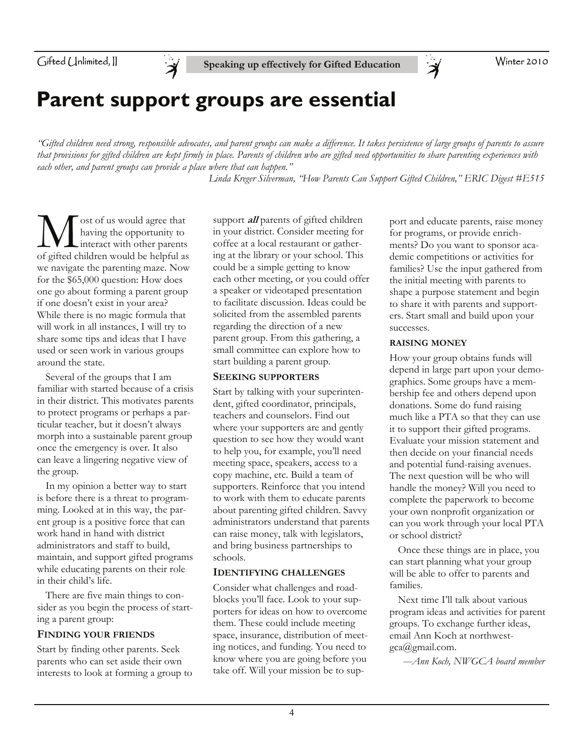Winter 2010

## **Parent support groups are essential**

*"Gifted children need strong, responsible advocates, and parent groups can make a difference. It takes persistence of large groups of parents to assure that provisions for gifted children are kept firmly in place. Parents of children who are gifted need opportunities to share parenting experiences with each other, and parent groups can provide a place where that can happen."* 

 *Linda Kreger Silverman, "How Parents Can Support Gifted Children," ERIC Digest #E515*

**M** ost of us would agree that<br>having the opportunity to<br>of gifted children would be helpful as having the opportunity to interact with other parents of gifted children would be helpful as we navigate the parenting maze. Now for the \$65,000 question: How does one go about forming a parent group if one doesn't exist in your area? While there is no magic formula that will work in all instances, I will try to share some tips and ideas that I have used or seen work in various groups around the state.

 Several of the groups that I am familiar with started because of a crisis in their district. This motivates parents to protect programs or perhaps a particular teacher, but it doesn't always morph into a sustainable parent group once the emergency is over. It also can leave a lingering negative view of the group.

 In my opinion a better way to start is before there is a threat to programming. Looked at in this way, the parent group is a positive force that can work hand in hand with district administrators and staff to build, maintain, and support gifted programs while educating parents on their role in their child's life.

 There are five main things to consider as you begin the process of starting a parent group:

### **FINDING YOUR FRIENDS**

Start by finding other parents. Seek parents who can set aside their own interests to look at forming a group to support **all** parents of gifted children in your district. Consider meeting for coffee at a local restaurant or gathering at the library or your school. This could be a simple getting to know each other meeting, or you could offer a speaker or videotaped presentation to facilitate discussion. Ideas could be solicited from the assembled parents regarding the direction of a new parent group. From this gathering, a small committee can explore how to start building a parent group.

### **SEEKING SUPPORTERS**

Start by talking with your superintendent, gifted coordinator, principals, teachers and counselors. Find out where your supporters are and gently question to see how they would want to help you, for example, you'll need meeting space, speakers, access to a copy machine, etc. Build a team of supporters. Reinforce that you intend to work with them to educate parents about parenting gifted children. Savvy administrators understand that parents can raise money, talk with legislators, and bring business partnerships to schools.

### **IDENTIFYING CHALLENGES**

Consider what challenges and roadblocks you'll face. Look to your supporters for ideas on how to overcome them. These could include meeting space, insurance, distribution of meeting notices, and funding. You need to know where you are going before you take off. Will your mission be to support and educate parents, raise money for programs, or provide enrichments? Do you want to sponsor academic competitions or activities for families? Use the input gathered from the initial meeting with parents to shape a purpose statement and begin to share it with parents and supporters. Start small and build upon your successes.

### **RAISING MONEY**

 $\breve{\mathcal{A}}$ 

How your group obtains funds will depend in large part upon your demographics. Some groups have a membership fee and others depend upon donations. Some do fund raising much like a PTA so that they can use it to support their gifted programs. Evaluate your mission statement and then decide on your financial needs and potential fund-raising avenues. The next question will be who will handle the money? Will you need to complete the paperwork to become your own nonprofit organization or can you work through your local PTA or school district?

 Once these things are in place, you can start planning what your group will be able to offer to parents and families.

 Next time I'll talk about various program ideas and activities for parent groups. To exchange further ideas, email Ann Koch at northwestgca@gmail.com.

*—Ann Koch, NWGCA board member*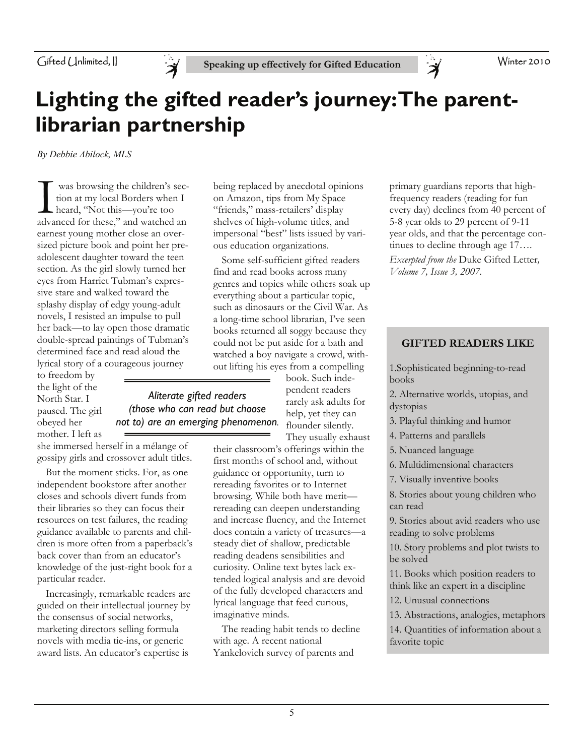

*Aliterate gifted readers (those who can read but choose not to) are an emerging phenomenon.* 

## **Lighting the gifted reader's journey: The parentlibrarian partnership**

*By Debbie Abilock, MLS* 

I was browsing the children's sec-advanced for these," and watched an tion at my local Borders when I heard, "Not this—you're too earnest young mother close an oversized picture book and point her preadolescent daughter toward the teen section. As the girl slowly turned her eyes from Harriet Tubman's expressive stare and walked toward the splashy display of edgy young-adult novels, I resisted an impulse to pull her back—to lay open those dramatic double-spread paintings of Tubman's determined face and read aloud the lyrical story of a courageous journey

to freedom by the light of the North Star. I paused. The girl obeyed her mother. I left as

she immersed herself in a mélange of gossipy girls and crossover adult titles.

 But the moment sticks. For, as one independent bookstore after another closes and schools divert funds from their libraries so they can focus their resources on test failures, the reading guidance available to parents and children is more often from a paperback's back cover than from an educator's knowledge of the just-right book for a particular reader.

 Increasingly, remarkable readers are guided on their intellectual journey by the consensus of social networks, marketing directors selling formula novels with media tie-ins, or generic award lists. An educator's expertise is

being replaced by anecdotal opinions on Amazon, tips from My Space "friends," mass-retailers' display shelves of high-volume titles, and impersonal "best" lists issued by various education organizations.

 Some self-sufficient gifted readers find and read books across many genres and topics while others soak up everything about a particular topic, such as dinosaurs or the Civil War. As a long-time school librarian, I've seen books returned all soggy because they could not be put aside for a bath and watched a boy navigate a crowd, without lifting his eyes from a compelling

> book. Such independent readers rarely ask adults for help, yet they can flounder silently. They usually exhaust

their classroom's offerings within the first months of school and, without guidance or opportunity, turn to rereading favorites or to Internet browsing. While both have merit rereading can deepen understanding and increase fluency, and the Internet does contain a variety of treasures—a steady diet of shallow, predictable reading deadens sensibilities and curiosity. Online text bytes lack extended logical analysis and are devoid of the fully developed characters and lyrical language that feed curious, imaginative minds.

 The reading habit tends to decline with age. A recent national Yankelovich survey of parents and

primary guardians reports that highfrequency readers (reading for fun every day) declines from 40 percent of 5-8 year olds to 29 percent of 9-11 year olds, and that the percentage continues to decline through age 17…. *Excerpted from the* Duke Gifted Letter*, Volume 7, Issue 3, 2007.* 

### **GIFTED READERS LIKE**

1.Sophisticated beginning-to-read books

- 2. Alternative worlds, utopias, and dystopias
- 3. Playful thinking and humor
- 4. Patterns and parallels
- 5. Nuanced language
- 6. Multidimensional characters
- 7. Visually inventive books

8. Stories about young children who can read

9. Stories about avid readers who use reading to solve problems

10. Story problems and plot twists to be solved

11. Books which position readers to think like an expert in a discipline

12. Unusual connections

13. Abstractions, analogies, metaphors

14. Quantities of information about a favorite topic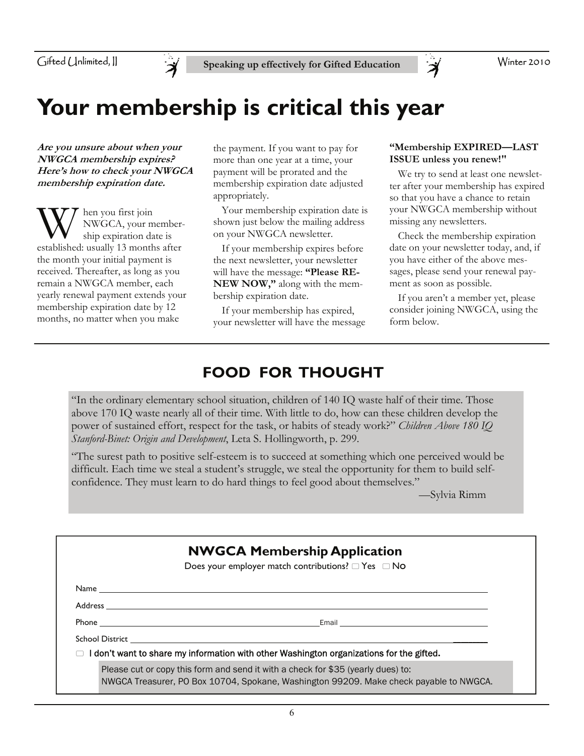

# **Your membership is critical this year**

**Are you unsure about when your NWGCA membership expires? Here's how to check your NWGCA membership expiration date.** 

W hen you first join<br>
ship expiration date is<br>
established: usually 13 months after NWGCA, your membership expiration date is the month your initial payment is received. Thereafter, as long as you remain a NWGCA member, each yearly renewal payment extends your membership expiration date by 12 months, no matter when you make

the payment. If you want to pay for more than one year at a time, your payment will be prorated and the membership expiration date adjusted appropriately.

 Your membership expiration date is shown just below the mailing address on your NWGCA newsletter.

 If your membership expires before the next newsletter, your newsletter will have the message: **"Please RE-NEW NOW,"** along with the membership expiration date.

If your membership has expired, your newsletter will have the message

### **"Membership EXPIRED—LAST ISSUE unless you renew!"**

 $\breve{\mathcal{A}}$ 

 We try to send at least one newsletter after your membership has expired so that you have a chance to retain your NWGCA membership without missing any newsletters.

 Check the membership expiration date on your newsletter today, and, if you have either of the above messages, please send your renewal payment as soon as possible.

 If you aren't a member yet, please consider joining NWGCA, using the form below.

## **FOOD FOR THOUGHT**

"In the ordinary elementary school situation, children of 140 IQ waste half of their time. Those above 170 IQ waste nearly all of their time. With little to do, how can these children develop the power of sustained effort, respect for the task, or habits of steady work?" *Children Above 180 IQ Stanford-Binet: Origin and Development*, Leta S. Hollingworth, p. 299.

"The surest path to positive self-esteem is to succeed at something which one perceived would be difficult. Each time we steal a student's struggle, we steal the opportunity for them to build selfconfidence. They must learn to do hard things to feel good about themselves."

—Sylvia Rimm

| <b>NWGCA Membership Application</b> |                                                                                                                                                                                                                                     |  |  |  |
|-------------------------------------|-------------------------------------------------------------------------------------------------------------------------------------------------------------------------------------------------------------------------------------|--|--|--|
|                                     | Does your employer match contributions? $\Box$ Yes $\Box$ No                                                                                                                                                                        |  |  |  |
|                                     |                                                                                                                                                                                                                                     |  |  |  |
|                                     |                                                                                                                                                                                                                                     |  |  |  |
|                                     |                                                                                                                                                                                                                                     |  |  |  |
|                                     | School District <b>Exercise School School</b> School School School School School School School School School School School School School School School School School School School School School School School School School School |  |  |  |
|                                     | $\Box$ I don't want to share my information with other Washington organizations for the gifted.                                                                                                                                     |  |  |  |
|                                     | Please cut or copy this form and send it with a check for \$35 (yearly dues) to:<br>NWGCA Treasurer, PO Box 10704, Spokane, Washington 99209. Make check payable to NWGCA.                                                          |  |  |  |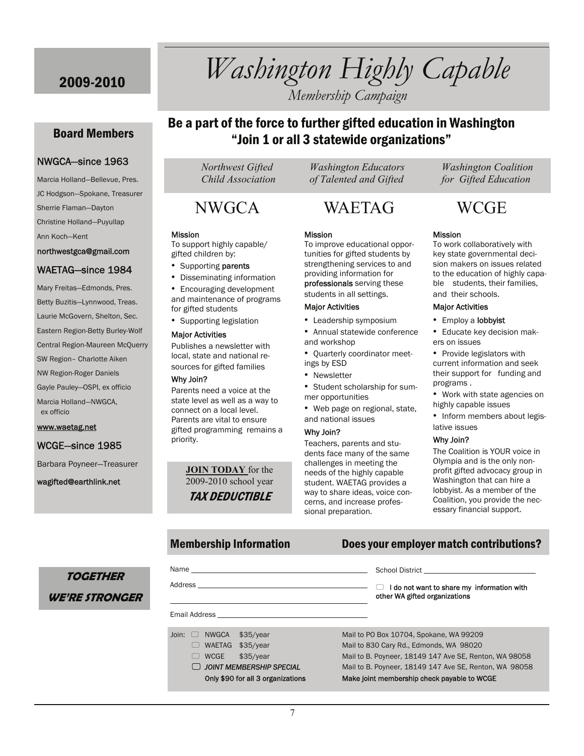Board Members

NWGCA—since 1963 Marcia Holland—Bellevue, Pres. JC Hodgson—Spokane, Treasurer

Sherrie Flaman—Dayton Christine Holland—Puyullap

northwestgca@gmail.com WAETAG—since 1984 Mary Freitas—Edmonds, Pres. Betty Buzitis—Lynnwood, Treas. Laurie McGovern, Shelton, Sec. Eastern Region-Betty Burley-Wolf Central Region-Maureen McQuerry SW Region– Charlotte Aiken NW Region-Roger Daniels Gayle Pauley—OSPI, ex officio Marcia Holland—NWGCA,

Ann Koch—Kent

ex officio

www.waetag.net

WCGE—since 1985

wagifted@earthlink.net

Barbara Poyneer—Treasurer

# 2009-2010 *Washington Highly Capable*

*Membership Campaign* 

### Be a part of the force to further gifted education in Washington "Join 1 or all 3 statewide organizations"

 *Child Association of Talented and Gifted for Gifted Education* 

## NWGCA WAETAG WCGE

### Mission

To improve educational opportunities for gifted students by strengthening services to and providing information for professionals serving these

- 
- Annual statewide conference and workshop
- ings by ESD
- Newsletter
- mer opportunities
- Web page on regional, state, and national issues

Teachers, parents and students face many of the same challenges in meeting the needs of the highly capable student. WAETAG provides a way to share ideas, voice concerns, and increase professional preparation.

School District

 *Northwest Gifted Washington Educators Washington Coalition* 

### Mission

To work collaboratively with key state governmental decision makers on issues related to the education of highly capable students, their families, and their schools.

### Major Activities

- Employ a lobbyist
- Educate key decision makers on issues
- Provide legislators with current information and seek their support for funding and programs .
- Work with state agencies on highly capable issues
- Inform members about legislative issues

### Why Join?

The Coalition is YOUR voice in Olympia and is the only nonprofit gifted advocacy group in Washington that can hire a lobbyist. As a member of the Coalition, you provide the necessary financial support.

### Membership Information Does your employer match contributions?

## **TOGETHER WE'RE STRONGER**

| Address                                                               | I do not want to share my information with<br>U<br>other WA gifted organizations |
|-----------------------------------------------------------------------|----------------------------------------------------------------------------------|
| Email Address <b>Email</b>                                            |                                                                                  |
| Join: $\Box$ NWGCA<br>\$35/year                                       | Mail to PO Box 10704, Spokane, WA 99209                                          |
| \$35/year<br>WAETAG<br>$\begin{pmatrix} 1 & 1 \\ 1 & 1 \end{pmatrix}$ | Mail to 830 Cary Rd., Edmonds, WA 98020                                          |
| <b>WCGE</b><br>\$35/year<br>$\Box$                                    | Mail to B. Poyneer, 18149 147 Ave SE, Renton, WA 98058                           |
| <b>O JOINT MEMBERSHIP SPECIAL</b>                                     | Mail to B. Poyneer, 18149 147 Ave SE, Renton, WA 98058                           |
| Only \$90 for all 3 organizations                                     | Make joint membership check payable to WCGE                                      |

### To support highly capable/ gifted children by:

- Supporting parents
- Disseminating information • Encouraging development and maintenance of programs for gifted students
- Supporting legislation

### Major Activities

Publishes a newsletter with local, state and national resources for gifted families

### Why Join?

Name

Mission

Parents need a voice at the state level as well as a way to connect on a local level. Parents are vital to ensure gifted programming remains a priority.

> **JOIN TODAY** for the 2009-2010 school year TAX DEDUCTIBLE

students in all settings.

### Major Activities

- Leadership symposium
- 
- Quarterly coordinator meet-
- 
- Student scholarship for sum-
- 

Why Join?